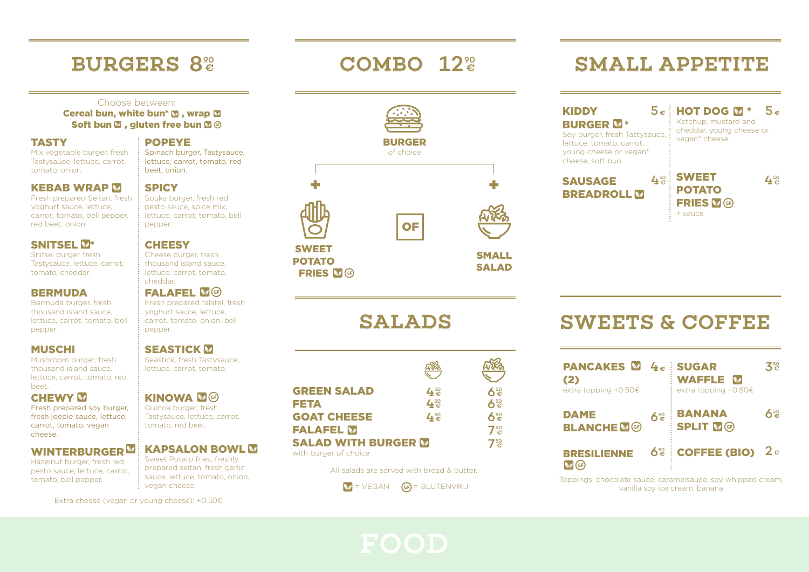# BURGERS 8<sup>%</sup> COMBO

#### Choose between:

Cereal bun, white bun\*  $\blacksquare$ , wrap  $\blacksquare$ Soft bun  $\Sigma$  , gluten free bun  $\Sigma$  ®

#### **TASTY**

Mix vegetable burger, fresh Tastysauce, lettuce, carrot, tomato, onion.

#### **KEBAB WRAP M**

Fresh prepared Seitan, fresh yoghurt sauce, lettuce, carrot, tomato, bell pepper, red beet, onion.

#### SNITSEL V\*

Snitsel burger, fresh Tastysauce, lettuce, carrot, tomato, cheddar.

#### **BERMUDA**

Bermuda burger, fresh thousand island sauce, lettuce, carrot, tomato, bell pepper.

#### MUSCHI

Mushroom burger, fresh thousand island sauce, lettuce, carrot, tomato, red beet.

#### **CHEWY M**

Fresh prepared soy burger, fresh joepie sauce, lettuce, carrot, tomato, vegan cheese.

#### WINTERBURGER<sup>M</sup>

Hazelnut burger, fresh red pesto sauce, lettuce, carrot, tomato, bell pepper.

#### POPEYE Spinach burger, Tastysauce,

lettuce, carrot, tomato, red beet, onion.

### **SPICY**

: Souka burger, fresh red pesto sauce, spice mix, lettuce, carrot, tomato, bell pepper.

### **CHEESY**

Cheese burger, fresh thousand island sauce, lettuce, carrot, tomato, cheddar.

#### FALAFEL **M**GB

Fresh prepared falafel, fresh yoghurt sauce, lettuce, carrot, tomato, onion, bell pepper.

#### **SEASTICK M**

Seastick, fresh Tastysauce, lettuce, carrot, tomato.

### **KINOWA MG**

Quinoa burger, fresh Tastysauce, lettuce, carrot, tomato, red beet.

#### **KAPSALON BOWL M**

Sweet Potato fries, freshly prepared seitan, fresh garlic sauce, lettuce, tomato, onion, vegan cheese.

Extra cheese (vegan or young cheese): +0.50€

# $\epsilon$  COMBO 12<sup> $\degree$ </sup>



|                                                     | <b>ARA</b>          |                 |
|-----------------------------------------------------|---------------------|-----------------|
| <b>GREEN SALAD</b>                                  | $4^{50}_{\epsilon}$ | 650             |
| <b>FETA</b>                                         | $4^{50}_{\epsilon}$ | 650             |
| <b>GOAT CHEESE</b>                                  | $4^{50}_{\epsilon}$ | 650             |
| <b>FALAFEL M</b>                                    |                     | 7 <sup>50</sup> |
| <b>SALAD WITH BURGER M</b><br>with burger of choice |                     | 7 <sup>50</sup> |

All salads are served with bread & butter.

$$
\bigotimes = \bigvee \mathsf{EGAN}
$$

### SMALL APPETITE

| <b>KIDDY</b><br><b>BURGER M*</b><br>Soy burger, fresh Tastysauce,<br>lettuce, tomato, carrot,<br>young cheese or yegan*<br>cheese, soft bun. | $5e$ : HOT DOG M *<br>5 <sub>e</sub><br>Ketchup, mustard and<br>cheddar, young cheese or<br>vegan* cheese. |
|----------------------------------------------------------------------------------------------------------------------------------------------|------------------------------------------------------------------------------------------------------------|
| $4^{50}_{\epsilon}$<br><b>SAUSAGE</b><br><b>BREADROLL</b>                                                                                    | <b>SWEET</b><br>$-50$<br><b>POTATO</b><br><b>FRIES MG</b><br>+ sauce                                       |

## SWEETS & COFFEE

| <b>PANCAKES <math>\blacksquare</math></b> $4e$ : SUGAR<br>(2)<br>extra topping $+0.50 \in$ |     | <b>WAFFLE</b> M<br>extra topping +0.50€  | る。  |
|--------------------------------------------------------------------------------------------|-----|------------------------------------------|-----|
| <b>DAME</b><br><b>BLANCHE</b> <sup>®</sup>                                                 | 650 | <b>BANANA</b><br><b>SPLIT MG</b>         | 6.≌ |
| <b>BRESILIENNE</b>                                                                         |     | $6\frac{60}{5}$ COFFEE (BIO) $2\epsilon$ |     |

Toppings: chocolate sauce, caramelsauce, soy whipped cream, = VEGAN = GLUTENVRIJ vanilla soy ice cream, banana

SALADS